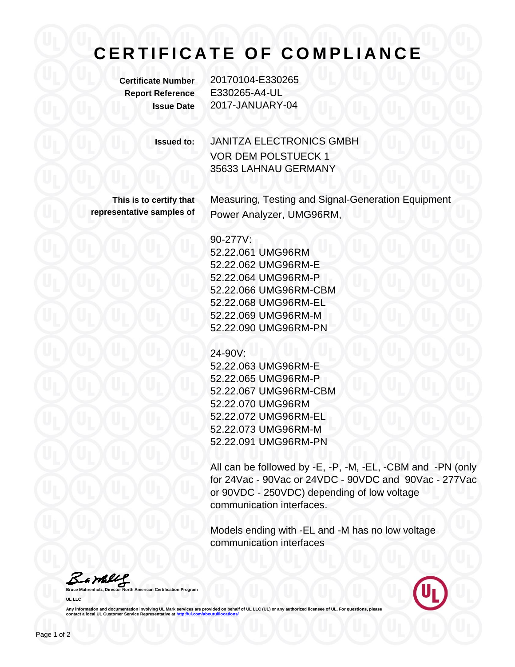## **CERTIFICATE OF COMPLIANCE**

**Certificate Number** 20170104-E330265 **Report Reference** E330265-A4-UL **Issue Date** 2017-JANUARY-04

**Issued to:** JANITZA ELECTRONICS GMBH VOR DEM POLSTUECK 1 35633 LAHNAU GERMANY

**This is to certify that representative samples of** Measuring, Testing and Signal-Generation Equipment Power Analyzer, UMG96RM,

90-277V:

52.22.061 UMG96RM 52.22.062 UMG96RM-E 52.22.064 UMG96RM-P 52.22.066 UMG96RM-CBM 52.22.068 UMG96RM-EL 52.22.069 UMG96RM-M 52.22.090 UMG96RM-PN

24-90V:

52.22.063 UMG96RM-E 52.22.065 UMG96RM-P 52.22.067 UMG96RM-CBM 52.22.070 UMG96RM 52.22.072 UMG96RM-EL 52.22.073 UMG96RM-M 52.22.091 UMG96RM-PN

All can be followed by -E, -P, -M, -EL, -CBM and -PN (only for 24Vac - 90Vac or 24VDC - 90VDC and 90Vac - 277Vac or 90VDC - 250VDC) depending of low voltage communication interfaces.

Models ending with -EL and -M has no low voltage communication interfaces

Bambley

**American Certification Program UL LLC**



Any information and documentation involving UL Mark services are provided on behalf of UL LLC (UL) or any authorized licensee of UL. For questions, please<br>contact a local UL Customer Service Representative at <u>http://ul.co</u>